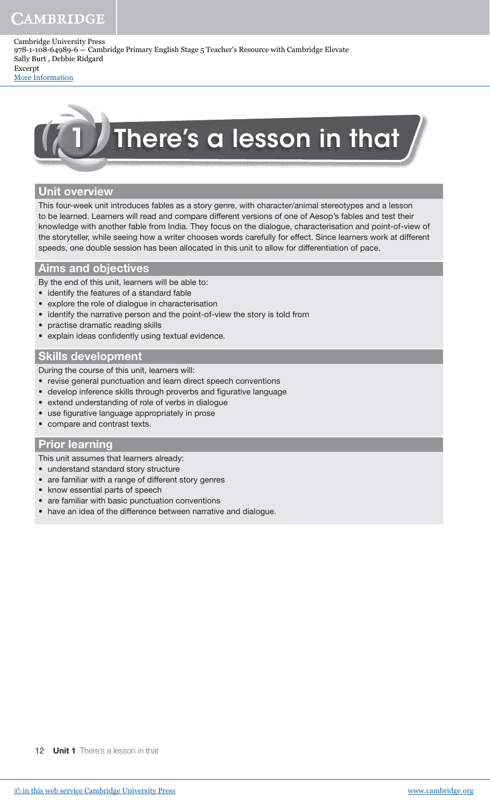# CAMBRIDGE

Cambridge University Press 978-1-108-64989-6 — Cambridge Primary English Stage 5 Teacher's Resource with Cambridge Elevate Sally Burt , Debbie Ridgard Excerpt

[More Information](www.cambridge.org/9781108649896)



## Unit overview

This four-week unit introduces fables as a story genre, with character/animal stereotypes and a lesson to be learned. Learners will read and compare different versions of one of Aesop's fables and test their knowledge with another fable from India. They focus on the dialogue, characterisation and point-of-view of the storyteller, while seeing how a writer chooses words carefully for effect. Since learners work at different speeds, one double session has been allocated in this unit to allow for differentiation of pace.

## Aims and objectives

By the end of this unit, learners will be able to:

- identify the features of a standard fable
- explore the role of dialogue in characterisation
- identify the narrative person and the point-of-view the story is told from
- practise dramatic reading skills
- explain ideas confidently using textual evidence.

## Skills development

During the course of this unit, learners will:

- revise general punctuation and learn direct speech conventions
- develop inference skills through proverbs and figurative language
- extend understanding of role of verbs in dialogue
- use figurative language appropriately in prose
- compare and contrast texts.

## Prior learning

This unit assumes that learners already:

- understand standard story structure
- are familiar with a range of different story genres
- know essential parts of speech
- are familiar with basic punctuation conventions
- have an idea of the difference between narrative and dialogue.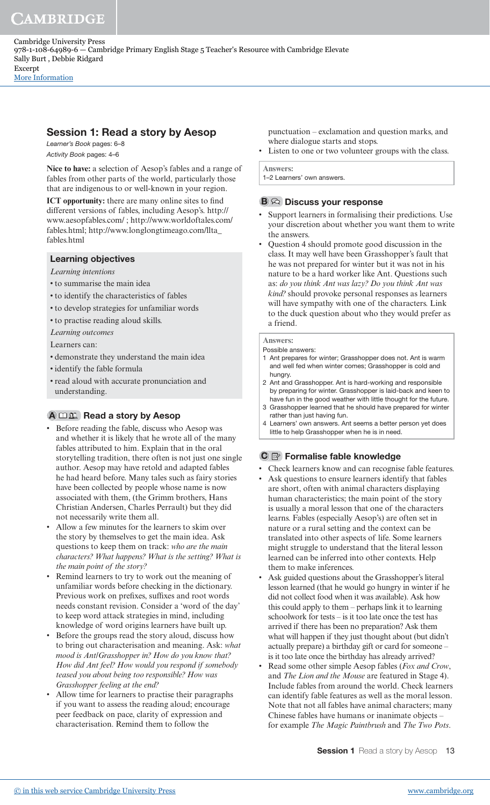# Session 1: Read a story by Aesop

Learner's Book pages: 6–8 Activity Book pages: 4–6

**Nice to have:** a selection of Aesop's fables and a range of fables from other parts of the world, particularly those that are indigenous to or well-known in your region.

**ICT opportunity:** there are many online sites to find different versions of fables, including Aesop's. http:// www.aesopfables.com/ ; http://www.worldoftales.com/ fables.html; http://www.longlongtimeago.com/llta\_ fables html

## Learning objectives

*Learning intentions*

- to summarise the main idea
- to identify the characteristics of fables
- to develop strategies for unfamiliar words
- to practise reading aloud skills.
- *Learning outcomes*

Learners can:

- demonstrate they understand the main idea
- identify the fable formula
- read aloud with accurate pronunciation and understanding.

# $A \n \Box \n \mathbb{E}$  Read a story by Aesop

- Before reading the fable, discuss who Aesop was and whether it is likely that he wrote all of the many fables attributed to him. Explain that in the oral storytelling tradition, there often is not just one single author. Aesop may have retold and adapted fables he had heard before. Many tales such as fairy stories have been collected by people whose name is now associated with them, (the Grimm brothers, Hans Christian Andersen, Charles Perrault) but they did not necessarily write them all.
- Allow a few minutes for the learners to skim over the story by themselves to get the main idea. Ask questions to keep them on track: *who are the main characters? What happens? What is the setting? What is the main point of the story?*
- Remind learners to try to work out the meaning of unfamiliar words before checking in the dictionary. Previous work on prefixes, suffixes and root words needs constant revision. Consider a 'word of the day' to keep word attack strategies in mind, including knowledge of word origins learners have built up.
- Before the groups read the story aloud, discuss how to bring out characterisation and meaning. Ask: *what mood is Ant/Grasshopper in? How do you know that? How did Ant feel? How would you respond if somebody teased you about being too responsible? How was Grasshopper feeling at the end?*
- Allow time for learners to practise their paragraphs if you want to assess the reading aloud; encourage peer feedback on pace, clarity of expression and characterisation. Remind them to follow the

punctuation – exclamation and question marks, and where dialogue starts and stops.

Listen to one or two volunteer groups with the class.

**Answers:** 1–2 Learners' own answers.

## $B \curvearrowright$  Discuss your response

- Support learners in formalising their predictions. Use your discretion about whether you want them to write the answers.
- Question 4 should promote good discussion in the class. It may well have been Grasshopper's fault that he was not prepared for winter but it was not in his nature to be a hard worker like Ant. Questions such as: *do you think Ant was lazy? Do you think Ant was kind?* should provoke personal responses as learners will have sympathy with one of the characters. Link to the duck question about who they would prefer as a friend.

### **Answers:**

#### Possible answers:

- 1 Ant prepares for winter; Grasshopper does not. Ant is warm and well fed when winter comes; Grasshopper is cold and hungry.
- 2 Ant and Grasshopper. Ant is hard-working and responsible by preparing for winter. Grasshopper is laid-back and keen to have fun in the good weather with little thought for the future. 3 Grasshopper learned that he should have prepared for winter
- rather than just having fun.
- 4 Learners' own answers. Ant seems a better person yet does little to help Grasshopper when he is in need.

## $\mathbf{C} \trianglerighteq$  Formalise fable knowledge

- Check learners know and can recognise fable features.
- Ask questions to ensure learners identify that fables are short, often with animal characters displaying human characteristics; the main point of the story is usually a moral lesson that one of the characters learns. Fables (especially Aesop's) are often set in nature or a rural setting and the context can be translated into other aspects of life. Some learners might struggle to understand that the literal lesson learned can be inferred into other contexts. Help them to make inferences.
- Ask guided questions about the Grasshopper's literal lesson learned (that he would go hungry in winter if he did not collect food when it was available). Ask how this could apply to them – perhaps link it to learning schoolwork for tests – is it too late once the test has arrived if there has been no preparation? Ask them what will happen if they just thought about (but didn't actually prepare) a birthday gift or card for someone – is it too late once the birthday has already arrived?
- Read some other simple Aesop fables (*Fox and Crow*, and *The Lion and the Mouse* are featured in Stage 4). Include fables from around the world. Check learners can identify fable features as well as the moral lesson. Note that not all fables have animal characters; many Chinese fables have humans or inanimate objects – for example *The Magic Paintbrush* and *The Two Pots*.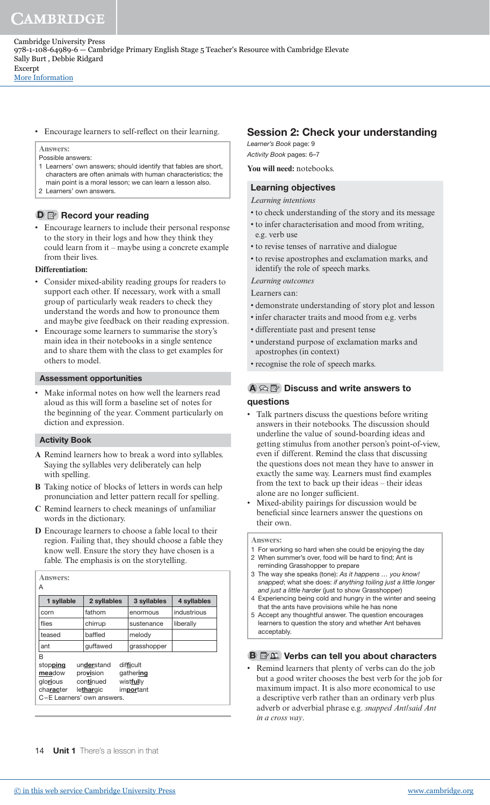[More Information](www.cambridge.org/9781108649896)

• Encourage learners to self-relect on their learning.

**Answers:**

- Possible answers: 1 Learners' own answers; should identify that fables are short, characters are often animals with human characteristics; the main point is a moral lesson; we can learn a lesson also.
- 2 Learners' own answers.

# D **Record your reading**

• Encourage learners to include their personal response to the story in their logs and how they think they could learn from it – maybe using a concrete example from their lives.

## **Differentiation:**

- Consider mixed-ability reading groups for readers to support each other. If necessary, work with a small group of particularly weak readers to check they understand the words and how to pronounce them and maybe give feedback on their reading expression.
- Encourage some learners to summarise the story's main idea in their notebooks in a single sentence and to share them with the class to get examples for others to model.

## Assessment opportunities

Make informal notes on how well the learners read aloud as this will form a baseline set of notes for the beginning of the year. Comment particularly on diction and expression.

## Activity Book

- **A** Remind learners how to break a word into syllables. Saying the syllables very deliberately can help with spelling.
- **B** Taking notice of blocks of letters in words can help pronunciation and letter pattern recall for spelling.
- **C** Remind learners to check meanings of unfamiliar words in the dictionary.
- **D** Encourage learners to choose a fable local to their region. Failing that, they should choose a fable they know well. Ensure the story they have chosen is a fable. The emphasis is on the storytelling.

| 1 syllable                                                                     | 2 syllables                                       | 3 syllables                                      | 4 syllables |
|--------------------------------------------------------------------------------|---------------------------------------------------|--------------------------------------------------|-------------|
| corn                                                                           | fathom                                            | enormous                                         | industrious |
| flies                                                                          | chirrup                                           | sustenance                                       | liberally   |
| teased                                                                         | baffled                                           | melody                                           |             |
| ant                                                                            | quffawed                                          | grasshopper                                      |             |
| B<br>stopping<br>meadow<br>glorious<br>character<br>C-E Learners' own answers. | understand<br>provision<br>continued<br>lethargic | difficult<br>gathering<br>wistfully<br>important |             |

# Session 2: Check your understanding

Learner's Book page: 9 Activity Book pages: 6–7

**You will need:** notebooks.

## Learning objectives

- *Learning intentions*
- to check understanding of the story and its message
- to infer characterisation and mood from writing, e.g. verb use
- to revise tenses of narrative and dialogue
- to revise apostrophes and exclamation marks, and identify the role of speech marks.

*Learning outcomes*

Learners can:

- demonstrate understanding of story plot and lesson
- infer character traits and mood from e.g. verbs
- differentiate past and present tense
- understand purpose of exclamation marks and apostrophes (in context)
- recognise the role of speech marks.

## $\mathbf{A} \otimes \mathbf{B}$  Discuss and write answers to questions

- Talk partners discuss the questions before writing answers in their notebooks. The discussion should underline the value of sound-boarding ideas and getting stimulus from another person's point-of-view, even if different. Remind the class that discussing the questions does not mean they have to answer in exactly the same way. Learners must find examples from the text to back up their ideas – their ideas alone are no longer suficient.
- Mixed-ability pairings for discussion would be beneficial since learners answer the questions on their own.

#### **Answers:**

- 1 For working so hard when she could be enjoying the day 2 When summer's over, food will be hard to find; Ant is
- reminding Grasshopper to prepare 3 The way she speaks (tone): As it happens … you know! snapped; what she does: if anything toiling just a little longer and just a little harder (just to show Grasshopper)
- 4 Experiencing being cold and hungry in the winter and seeing that the ants have provisions while he has none
- 5 Accept any thoughtful answer. The question encourages learners to question the story and whether Ant behaves acceptably.

## **B P** 2 Verbs can tell you about characters

• Remind learners that plenty of verbs can do the job but a good writer chooses the best verb for the job for maximum impact. It is also more economical to use a descriptive verb rather than an ordinary verb plus adverb or adverbial phrase e.g. *snapped Ant*/*said Ant in a cross way*.

14 **Unit 1** There's a lesson in that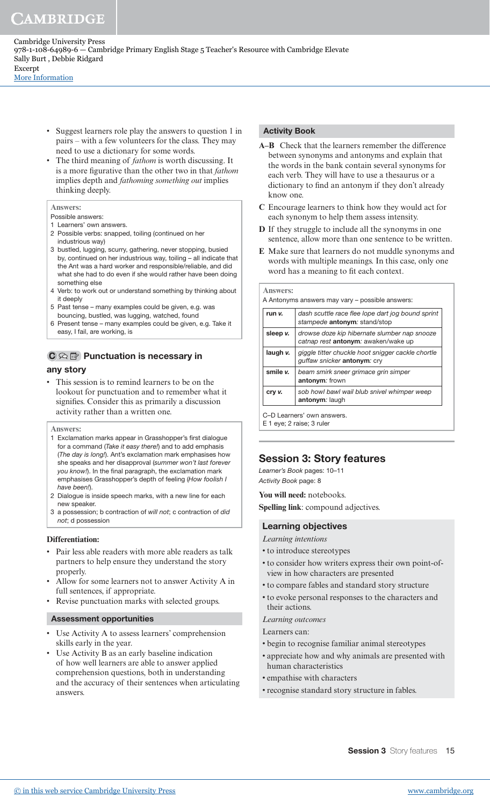[More Information](www.cambridge.org/9781108649896)

- Suggest learners role play the answers to question 1 in pairs – with a few volunteers for the class. They may need to use a dictionary for some words.
- The third meaning of *fathom* is worth discussing. It is a more igurative than the other two in that *fathom* implies depth and *fathoming something out* implies thinking deeply.

#### **Answers:**

- Possible answers:
- 1 Learners' own answers.
- 2 Possible verbs: snapped, toiling (continued on her industrious way)
- 3 bustled, lugging, scurry, gathering, never stopping, busied by, continued on her industrious way, toiling – all indicate that the Ant was a hard worker and responsible/reliable, and did what she had to do even if she would rather have been doing something else
- 4 Verb: to work out or understand something by thinking about it deeply
- 5 Past tense many examples could be given, e.g. was bouncing, bustled, was lugging, watched, found
- 6 Present tense many examples could be given, e.g. Take it easy, I fail, are working, is

## $\mathbf{C} \otimes \mathbf{F}$  Punctuation is necessary in

### any story

• This session is to remind learners to be on the lookout for punctuation and to remember what it signifies. Consider this as primarily a discussion activity rather than a written one.

#### **Answers:**

- 1 Exclamation marks appear in Grasshopper's first dialogue for a command (Take it easy there!) and to add emphasis (The day is long!). Ant's exclamation mark emphasises how she speaks and her disapproval (summer won't last forever you know!). In the final paragraph, the exclamation mark emphasises Grasshopper's depth of feeling (How foolish I have been!).
- 2 Dialogue is inside speech marks, with a new line for each new speaker.
- 3 a possession; b contraction of will not; c contraction of did not; d possession

#### **Differentiation:**

- Pair less able readers with more able readers as talk partners to help ensure they understand the story properly.
- Allow for some learners not to answer Activity A in full sentences, if appropriate.
- Revise punctuation marks with selected groups.

#### Assessment opportunities

- Use Activity A to assess learners' comprehension skills early in the year.
- Use Activity B as an early baseline indication of how well learners are able to answer applied comprehension questions, both in understanding and the accuracy of their sentences when articulating answers.

### Activity Book

- **A–B** Check that the learners remember the difference between synonyms and antonyms and explain that the words in the bank contain several synonyms for each verb. They will have to use a thesaurus or a dictionary to find an antonym if they don't already know one.
- **C** Encourage learners to think how they would act for each synonym to help them assess intensity.
- **D** If they struggle to include all the synonyms in one sentence, allow more than one sentence to be written.
- **E** Make sure that learners do not muddle synonyms and words with multiple meanings. In this case, only one word has a meaning to fit each context.

### **Answers:** A Antonyms answers may vary – possible answers: run v.  $\vert$  dash scuttle race flee lope dart jog bound sprint stampede antonym: stand/stop sleep  $\mathbf{v}$ . drowse doze kip hibernate slumber nap snooze catnap rest antonym: awaken/wake up laugh v.  $\frac{1}{2}$  giggle titter chuckle hoot snigger cackle chortle

|          | guffaw snicker antonym: cry                                   |
|----------|---------------------------------------------------------------|
| smile v. | beam smirk sneer grimace grin simper<br>antonym: frown        |
| cry v.   | sob howl bawl wail blub snivel whimper weep<br>antonym: laugh |
|          |                                                               |

C–D Learners' own answers. E 1 eye; 2 raise; 3 ruler

## Session 3: Story features

Learner's Book pages: 10–11 Activity Book page: 8

**You will need:** notebooks.

**Spelling link**: compound adjectives.

## Learning objectives

- *Learning intentions*
- to introduce stereotypes
- to consider how writers express their own point-ofview in how characters are presented
- to compare fables and standard story structure
- to evoke personal responses to the characters and their actions.
- *Learning outcomes*

Learners can:

- begin to recognise familiar animal stereotypes
- appreciate how and why animals are presented with human characteristics
- empathise with characters
- recognise standard story structure in fables.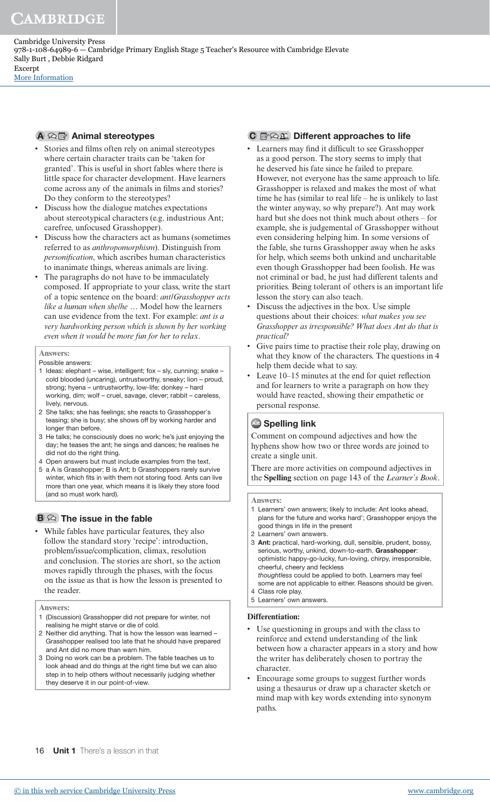Cambridge University Press 978-1-108-64989-6 — Cambridge Primary English Stage 5 Teacher's Resource with Cambridge Elevate Sally Burt , Debbie Ridgard Excerpt [More Information](www.cambridge.org/9781108649896)

A A **R** Animal stereotypes

- Stories and films often rely on animal stereotypes where certain character traits can be 'taken for granted'. This is useful in short fables where there is little space for character development. Have learners come across any of the animals in films and stories? Do they conform to the stereotypes?
- Discuss how the dialogue matches expectations about stereotypical characters (e.g. industrious Ant; carefree, unfocused Grasshopper).
- Discuss how the characters act as humans (sometimes referred to as *anthropomorphism*). Distinguish from *personiication*, which ascribes human characteristics to inanimate things, whereas animals are living.
- The paragraphs do not have to be immaculately composed. If appropriate to your class, write the start of a topic sentence on the board: *ant/Grasshopper acts like a human when she/he …* Model how the learners can use evidence from the text. For example: *ant is a very hardworking person which is shown by her working even when it would be more fun for her to relax*.

#### **Answers:**

Possible answers:

- 1 Ideas: elephant wise, intelligent; fox sly, cunning; snake cold blooded (uncaring), untrustworthy, sneaky; lion – proud, strong; hyena – untrustworthy, low-life; donkey – hard working, dim; wolf – cruel, savage, clever; rabbit – careless, lively, nervous.
- 2 She talks; she has feelings; she reacts to Grasshopper's teasing; she is busy; she shows off by working harder and longer than before.
- 3 He talks; he consciously does no work; he's just enjoying the day; he teases the ant; he sings and dances; he realises he did not do the right thing.
- 4 Open answers but must include examples from the text.
- 5 a A is Grasshopper; B is Ant; b Grasshoppers rarely survive winter, which fits in with them not storing food. Ants can live more than one year, which means it is likely they store food (and so must work hard).

## $B \otimes$  The issue in the fable

• While fables have particular features, they also follow the standard story 'recipe': introduction, problem/issue/complication, climax, resolution and conclusion. The stories are short, so the action moves rapidly through the phases, with the focus on the issue as that is how the lesson is presented to the reader.

- 1 (Discussion) Grasshopper did not prepare for winter, not realising he might starve or die of cold.
- 2 Neither did anything. That is how the lesson was learned Grasshopper realised too late that he should have prepared and Ant did no more than warn him.
- 3 Doing no work can be a problem. The fable teaches us to look ahead and do things at the right time but we can also step in to help others without necessarily judging whether they deserve it in our point-of-view.

## $\mathbb{C} \boxtimes \mathbb{C}$  Different approaches to life

- Learners may find it difficult to see Grasshopper as a good person. The story seems to imply that he deserved his fate since he failed to prepare. However, not everyone has the same approach to life. Grasshopper is relaxed and makes the most of what time he has (similar to real life – he is unlikely to last the winter anyway, so why prepare?). Ant may work hard but she does not think much about others – for example, she is judgemental of Grasshopper without even considering helping him. In some versions of the fable, she turns Grasshopper away when he asks for help, which seems both unkind and uncharitable even though Grasshopper had been foolish. He was not criminal or bad, he just had different talents and priorities. Being tolerant of others is an important life lesson the story can also teach.
- Discuss the adjectives in the box. Use simple questions about their choices: *what makes you see Grasshopper as irresponsible? What does Ant do that is practical?*
- Give pairs time to practise their role play, drawing on what they know of the characters. The questions in 4 help them decide what to say.
- Leave 10–15 minutes at the end for quiet reflection and for learners to write a paragraph on how they would have reacted, showing their empathetic or personal response.

## **Az Spelling link**

Comment on compound adjectives and how the hyphens show how two or three words are joined to create a single unit.

There are more activities on compound adjectives in the **Spelling** section on page 143 of the *Learner's Book*.

#### **Answers:**

- 1 Learners' own answers; likely to include: Ant looks ahead, plans for the future and works hard'; Grasshopper enjoys the good things in life in the present
- 2 Learners' own answers.
- 3 Ant: practical, hard-working, dull, sensible, prudent, bossy, serious, worthy, unkind, down-to-earth. Grasshopper: optimistic happy-go-lucky, fun-loving, chirpy, irresponsible, cheerful, cheery and feckless thoughtless could be applied to both. Learners may feel some are not applicable to either. Reasons should be given.
- 4 Class role play.
- 5 Learners' own answers.

#### **Differentiation:**

- Use questioning in groups and with the class to reinforce and extend understanding of the link between how a character appears in a story and how the writer has deliberately chosen to portray the character.
- Encourage some groups to suggest further words using a thesaurus or draw up a character sketch or mind map with key words extending into synonym paths.

**Answers:**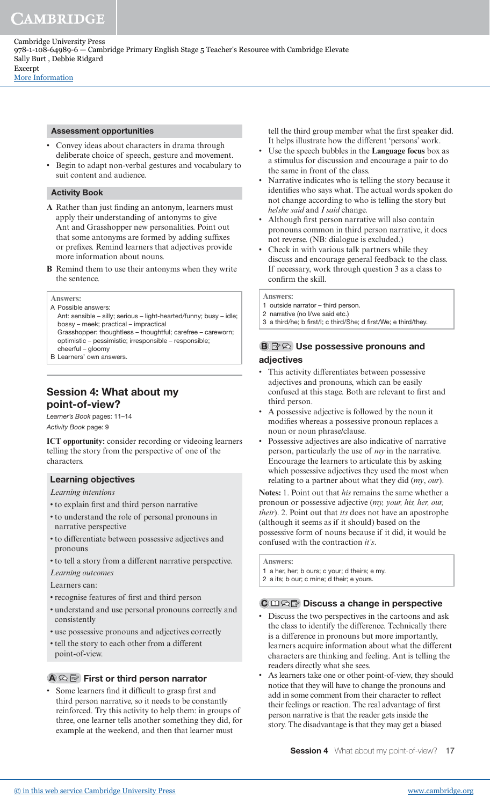Cambridge University Press 978-1-108-64989-6 — Cambridge Primary English Stage 5 Teacher's Resource with Cambridge Elevate Sally Burt , Debbie Ridgard Excerpt [More Information](www.cambridge.org/9781108649896)

### Assessment opportunities

- Convey ideas about characters in drama through deliberate choice of speech, gesture and movement.
- Begin to adapt non-verbal gestures and vocabulary to suit content and audience.

### Activity Book

- A Rather than just finding an antonym, learners must apply their understanding of antonyms to give Ant and Grasshopper new personalities. Point out that some antonyms are formed by adding sufixes or preixes. Remind learners that adjectives provide more information about nouns.
- **B** Remind them to use their antonyms when they write the sentence.

#### **Answers:**

- A Possible answers:
- Ant: sensible silly; serious light-hearted/funny; busy idle; bossy – meek; practical – impractical Grasshopper: thoughtless – thoughtful; carefree – careworn;
- optimistic pessimistic; irresponsible responsible; cheerful – gloomy
- B Learners' own answers.

## Session 4: What about my point-of-view?

Learner's Book pages: 11–14 Activity Book page: 9

**ICT opportunity:** consider recording or videoing learners telling the story from the perspective of one of the characters.

## Learning objectives

*Learning intentions*

- to explain irst and third person narrative
- to understand the role of personal pronouns in narrative perspective
- to differentiate between possessive adjectives and pronouns
- to tell a story from a different narrative perspective.
- *Learning outcomes*

Learners can:

- recognise features of irst and third person
- understand and use personal pronouns correctly and consistently
- use possessive pronouns and adjectives correctly
- tell the story to each other from a different point-of-view.

## $\mathbf{A} \otimes \mathbf{B}$  First or third person narrator

• Some learners find it difficult to grasp first and third person narrative, so it needs to be constantly reinforced. Try this activity to help them: in groups of three, one learner tells another something they did, for example at the weekend, and then that learner must

tell the third group member what the first speaker did. It helps illustrate how the different 'persons' work.

- Use the speech bubbles in the **Language focus** box as a stimulus for discussion and encourage a pair to do the same in front of the class.
- Narrative indicates who is telling the story because it identifies who says what. The actual words spoken do not change according to who is telling the story but *he/she said* and *I said* change.
- Although first person narrative will also contain pronouns common in third person narrative, it does not reverse. (NB: dialogue is excluded.)
- Check in with various talk partners while they discuss and encourage general feedback to the class. If necessary, work through question 3 as a class to confirm the skill.

**Answers:**

- 1 outside narrator third person.
- 2 narrative (no I/we said etc.)
- 3 a third/he; b first/l; c third/She; d first/We; e third/they.

## $\mathbf{B} \boxtimes \odot$  Use possessive pronouns and adjectives

- This activity differentiates between possessive adjectives and pronouns, which can be easily confused at this stage. Both are relevant to first and third person.
- A possessive adjective is followed by the noun it modifies whereas a possessive pronoun replaces a noun or noun phrase/clause.
- Possessive adjectives are also indicative of narrative person, particularly the use of *my* in the narrative. Encourage the learners to articulate this by asking which possessive adjectives they used the most when relating to a partner about what they did (*my*, *our*).

**Notes:** 1. Point out that *his* remains the same whether a pronoun or possessive adjective (*my, your, his, her, our, their*). 2. Point out that *its* does not have an apostrophe (although it seems as if it should) based on the possessive form of nouns because if it did, it would be confused with the contraction *it's*.

**Answers:**

- 1 a her, her; b ours; c your; d theirs; e my.
- 2 a its; b our; c mine; d their; e yours.

## $\mathbb{C} \boxplus \widehat{\otimes} \mathbb{R}$  Discuss a change in perspective

- Discuss the two perspectives in the cartoons and ask the class to identify the difference. Technically there is a difference in pronouns but more importantly, learners acquire information about what the different characters are thinking and feeling. Ant is telling the readers directly what she sees.
- As learners take one or other point-of-view, they should notice that they will have to change the pronouns and add in some comment from their character to relect their feelings or reaction. The real advantage of first person narrative is that the reader gets inside the story. The disadvantage is that they may get a biased

**Session 4** What about my point-of-view? 17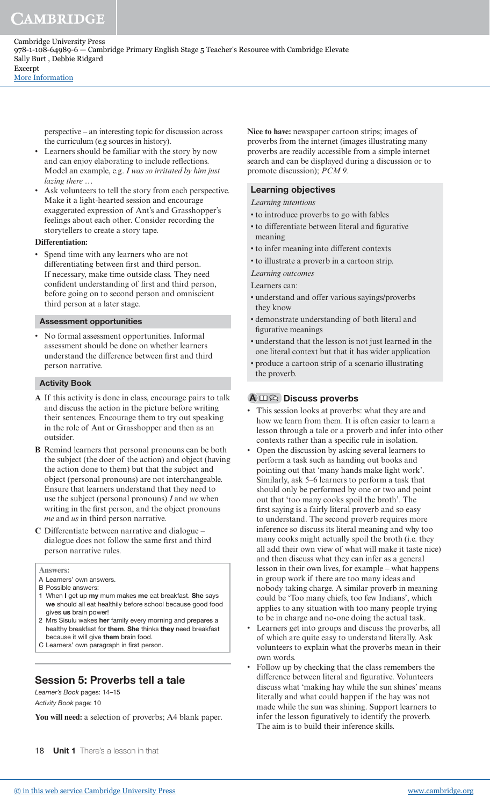perspective – an interesting topic for discussion across the curriculum (e.g sources in history).

- Learners should be familiar with the story by now and can enjoy elaborating to include relections. Model an example, e.g. *I was so irritated by him just lazing there …*
- Ask volunteers to tell the story from each perspective. Make it a light-hearted session and encourage exaggerated expression of Ant's and Grasshopper's feelings about each other. Consider recording the storytellers to create a story tape.

### **Differentiation:**

• Spend time with any learners who are not differentiating between first and third person. If necessary, make time outside class. They need confident understanding of first and third person, before going on to second person and omniscient third person at a later stage.

#### Assessment opportunities

• No formal assessment opportunities. Informal assessment should be done on whether learners understand the difference between irst and third person narrative.

### Activity Book

- **A** If this activity is done in class, encourage pairs to talk and discuss the action in the picture before writing their sentences. Encourage them to try out speaking in the role of Ant or Grasshopper and then as an outsider.
- **B** Remind learners that personal pronouns can be both the subject (the doer of the action) and object (having the action done to them) but that the subject and object (personal pronouns) are not interchangeable. Ensure that learners understand that they need to use the subject (personal pronouns) *I* and *we* when writing in the first person, and the object pronouns *me* and *us* in third person narrative.
- **C** Differentiate between narrative and dialogue dialogue does not follow the same first and third person narrative rules.

#### **Answers:**

- A Learners' own answers.
- B Possible answers:
- 1 When I get up my mum makes me eat breakfast. She says we should all eat healthily before school because good food gives us brain power!
- 2 Mrs Sisulu wakes her family every morning and prepares a healthy breakfast for them. She thinks they need breakfast because it will give them brain food.
- C Learners' own paragraph in first person.

## Session 5: Proverbs tell a tale

Learner's Book pages: 14–15 Activity Book page: 10

You will need: a selection of proverbs; A4 blank paper.

18 **Unit 1** There's a lesson in that

**Nice to have:** newspaper cartoon strips; images of proverbs from the internet (images illustrating many proverbs are readily accessible from a simple internet search and can be displayed during a discussion or to promote discussion); *PCM 9.*

### Learning objectives

*Learning intentions*

- to introduce proverbs to go with fables
- to differentiate between literal and figurative meaning
- to infer meaning into different contexts
- to illustrate a proverb in a cartoon strip.

*Learning outcomes*

Learners can:

- understand and offer various sayings/proverbs they know
- demonstrate understanding of both literal and figurative meanings
- understand that the lesson is not just learned in the one literal context but that it has wider application
- produce a cartoon strip of a scenario illustrating the proverb.

### $A \bmod$  Discuss proverbs

- This session looks at proverbs: what they are and how we learn from them. It is often easier to learn a lesson through a tale or a proverb and infer into other contexts rather than a specific rule in isolation.
- Open the discussion by asking several learners to perform a task such as handing out books and pointing out that 'many hands make light work'. Similarly, ask 5–6 learners to perform a task that should only be performed by one or two and point out that 'too many cooks spoil the broth'. The first saying is a fairly literal proverb and so easy to understand. The second proverb requires more inference so discuss its literal meaning and why too many cooks might actually spoil the broth (i.e. they all add their own view of what will make it taste nice) and then discuss what they can infer as a general lesson in their own lives, for example – what happens in group work if there are too many ideas and nobody taking charge. A similar proverb in meaning could be 'Too many chiefs, too few Indians', which applies to any situation with too many people trying to be in charge and no-one doing the actual task.
- Learners get into groups and discuss the proverbs, all of which are quite easy to understand literally. Ask volunteers to explain what the proverbs mean in their own words.
- Follow up by checking that the class remembers the difference between literal and figurative. Volunteers discuss what 'making hay while the sun shines' means literally and what could happen if the hay was not made while the sun was shining. Support learners to infer the lesson figuratively to identify the proverb. The aim is to build their inference skills.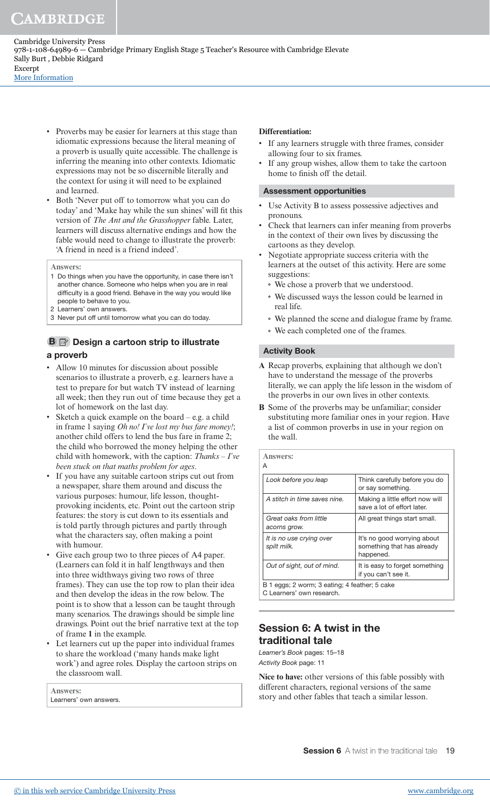• Proverbs may be easier for learners at this stage than idiomatic expressions because the literal meaning of a proverb is usually quite accessible. The challenge is inferring the meaning into other contexts. Idiomatic expressions may not be so discernible literally and the context for using it will need to be explained and learned.

• Both 'Never put off to tomorrow what you can do today' and 'Make hay while the sun shines' will fit this version of *The Ant and the Grasshopper* fable. Later, learners will discuss alternative endings and how the fable would need to change to illustrate the proverb: 'A friend in need is a friend indeed'.

**Answers:**

- 1 Do things when you have the opportunity, in case there isn't another chance. Someone who helps when you are in real dificulty is a good friend. Behave in the way you would like people to behave to you.
- 2 Learners' own answers.
- 3 Never put off until tomorrow what you can do today.

## **B Design a cartoon strip to illustrate** a proverb

- Allow 10 minutes for discussion about possible scenarios to illustrate a proverb, e.g. learners have a test to prepare for but watch TV instead of learning all week; then they run out of time because they get a lot of homework on the last day.
- Sketch a quick example on the board e.g. a child in frame 1 saying *Oh no! I've lost my bus fare money!*; another child offers to lend the bus fare in frame 2; the child who borrowed the money helping the other child with homework, with the caption: *Thanks* – *I've been stuck on that maths problem for ages*.
- If you have any suitable cartoon strips cut out from a newspaper, share them around and discuss the various purposes: humour, life lesson, thoughtprovoking incidents, etc. Point out the cartoon strip features: the story is cut down to its essentials and is told partly through pictures and partly through what the characters say, often making a point with humour.
- Give each group two to three pieces of A4 paper. (Learners can fold it in half lengthways and then into three widthways giving two rows of three frames). They can use the top row to plan their idea and then develop the ideas in the row below. The point is to show that a lesson can be taught through many scenarios. The drawings should be simple line drawings. Point out the brief narrative text at the top of frame **1** in the example.
- Let learners cut up the paper into individual frames to share the workload ('many hands make light work') and agree roles. Display the cartoon strips on the classroom wall.

| <b>Answers:</b>        |  |
|------------------------|--|
| Learners' own answers. |  |

#### **Differentiation:**

- If any learners struggle with three frames, consider allowing four to six frames.
- If any group wishes, allow them to take the cartoon home to finish off the detail.

#### Assessment opportunities

- Use Activity B to assess possessive adjectives and pronouns.
- Check that learners can infer meaning from proverbs in the context of their own lives by discussing the cartoons as they develop.
- Negotiate appropriate success criteria with the learners at the outset of this activity. Here are some suggestions:
	- We chose a proverb that we understood.
	- We discussed ways the lesson could be learned in real life.
	- We planned the scene and dialogue frame by frame.
	- We each completed one of the frames.

### Activity Book

- **A** Recap proverbs, explaining that although we don't have to understand the message of the proverbs literally, we can apply the life lesson in the wisdom of the proverbs in our own lives in other contexts.
- **B** Some of the proverbs may be unfamiliar; consider substituting more familiar ones in your region. Have a list of common proverbs in use in your region on the wall.

| <b>Answers:</b><br>A                                                       |                                                                        |
|----------------------------------------------------------------------------|------------------------------------------------------------------------|
| Look before you leap                                                       | Think carefully before you do<br>or say something.                     |
| A stitch in time saves nine.                                               | Making a little effort now will<br>save a lot of effort later.         |
| Great oaks from little<br>acorns grow.                                     | All great things start small.                                          |
| It is no use crying over<br>spilt milk.                                    | It's no good worrying about<br>something that has already<br>happened. |
| Out of sight, out of mind.                                                 | It is easy to forget something<br>if you can't see it.                 |
| B 1 eggs; 2 worm; 3 eating; 4 feather; 5 cake<br>C Learners' own research. |                                                                        |

## Session 6: A twist in the traditional tale

Learner's Book pages: 15–18 Activity Book page: 11

**Nice to have:** other versions of this fable possibly with different characters, regional versions of the same story and other fables that teach a similar lesson.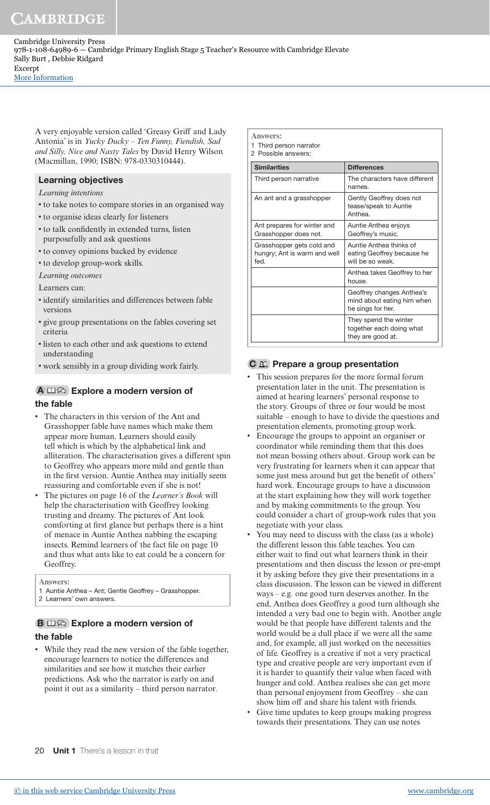Cambridge University Press 978-1-108-64989-6 — Cambridge Primary English Stage 5 Teacher's Resource with Cambridge Elevate Sally Burt , Debbie Ridgard Excerpt [More Information](www.cambridge.org/9781108649896)

A very enjoyable version called 'Greasy Griff and Lady Antonia' is in *Yucky Ducky – Ten Funny, Fiendish, Sad and Silly, Nice and Nasty Tales* by David Henry Wilson (Macmillan, 1990; ISBN: 978-0330310444).

### Learning objectives

*Learning intentions*

- to take notes to compare stories in an organised way
- to organise ideas clearly for listeners
- to talk confidently in extended turns, listen purposefully and ask questions
- to convey opinions backed by evidence
- to develop group-work skills.

*Learning outcomes*

Learners can:

- identify similarities and differences between fable versions
- give group presentations on the fables covering set criteria
- listen to each other and ask questions to extend understanding
- work sensibly in a group dividing work fairly.

### A  $\Box \, \widehat{\triangle}$  Explore a modern version of the fable

### The characters in this version of the Ant and Grasshopper fable have names which make them appear more human. Learners should easily tell which is which by the alphabetical link and alliteration. The characterisation gives a different spin to Geoffrey who appears more mild and gentle than in the first version. Auntie Anthea may initially seem reassuring and comfortable even if she is not!

• The pictures on page 16 of the *Learner's Book* will help the characterisation with Geoffrey looking trusting and dreamy. The pictures of Ant look comforting at first glance but perhaps there is a hint of menace in Auntie Anthea nabbing the escaping insects. Remind learners of the fact ile on page 10 and thus what ants like to eat could be a concern for Geoffrey.

**Answers:**

1 Auntie Anthea – Ant; Gentle Geoffrey – Grasshopper.

2 Learners' own answers.

## $\mathbf{B} \square \curvearrowright$  Explore a modern version of the fable

While they read the new version of the fable together, encourage learners to notice the differences and similarities and see how it matches their earlier predictions. Ask who the narrator is early on and point it out as a similarity – third person narrator.

| <b>Answers:</b><br>Third person narrator<br>2 Possible answers:   |                                                                              |
|-------------------------------------------------------------------|------------------------------------------------------------------------------|
| <b>Similarities</b>                                               | <b>Differences</b>                                                           |
| Third person narrative                                            | The characters have different<br>names.                                      |
| An ant and a grasshopper                                          | Gently Geoffrey does not<br>tease/speak to Auntie<br>Anthea.                 |
| Ant prepares for winter and<br>Grasshopper does not.              | Auntie Anthea enjoys<br>Geoffrey's music.                                    |
| Grasshopper gets cold and<br>hungry; Ant is warm and well<br>fed. | Auntie Anthea thinks of<br>eating Geoffrey because he<br>will be so weak.    |
|                                                                   | Anthea takes Geoffrey to her<br>house.                                       |
|                                                                   | Geoffrey changes Anthea's<br>mind about eating him when<br>he sings for her. |
|                                                                   | They spend the winter<br>together each doing what<br>they are good at.       |

### $C \mathbb{E}$  Prepare a group presentation

- This session prepares for the more formal forum presentation later in the unit. The presentation is aimed at hearing learners' personal response to the story. Groups of three or four would be most suitable – enough to have to divide the questions and presentation elements, promoting group work.
- Encourage the groups to appoint an organiser or coordinator while reminding them that this does not mean bossing others about. Group work can be very frustrating for learners when it can appear that some just mess around but get the benefit of others' hard work. Encourage groups to have a discussion at the start explaining how they will work together and by making commitments to the group. You could consider a chart of group-work rules that you negotiate with your class.
- You may need to discuss with the class (as a whole) the different lesson this fable teaches. You can either wait to find out what learners think in their presentations and then discuss the lesson or pre-empt it by asking before they give their presentations in a class discussion. The lesson can be viewed in different ways – e.g. one good turn deserves another. In the end, Anthea does Geoffrey a good turn although she intended a very bad one to begin with. Another angle would be that people have different talents and the world would be a dull place if we were all the same and, for example, all just worked on the necessities of life. Geoffrey is a creative if not a very practical type and creative people are very important even if it is harder to quantify their value when faced with hunger and cold. Anthea realises she can get more than personal enjoyment from Geoffrey – she can show him off and share his talent with friends.
- Give time updates to keep groups making progress towards their presentations. They can use notes